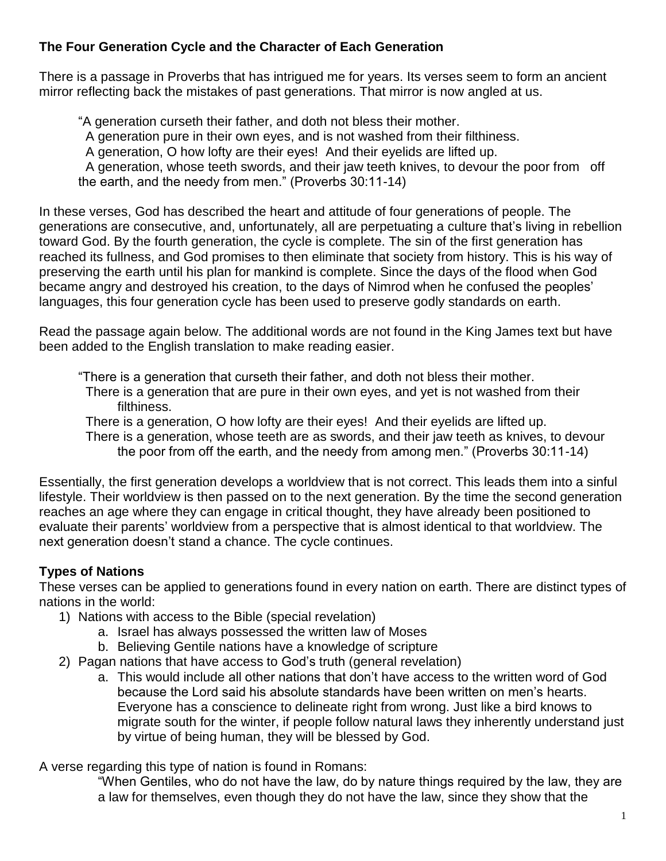## **The Four Generation Cycle and the Character of Each Generation**

There is a passage in Proverbs that has intrigued me for years. Its verses seem to form an ancient mirror reflecting back the mistakes of past generations. That mirror is now angled at us.

"A generation curseth their father, and doth not bless their mother. A generation pure in their own eyes, and is not washed from their filthiness. A generation, O how lofty are their eyes! And their eyelids are lifted up. A generation, whose teeth swords, and their jaw teeth knives, to devour the poor from off the earth, and the needy from men." (Proverbs 30:11-14)

In these verses, God has described the heart and attitude of four generations of people. The generations are consecutive, and, unfortunately, all are perpetuating a culture that's living in rebellion toward God. By the fourth generation, the cycle is complete. The sin of the first generation has reached its fullness, and God promises to then eliminate that society from history. This is his way of preserving the earth until his plan for mankind is complete. Since the days of the flood when God became angry and destroyed his creation, to the days of Nimrod when he confused the peoples' languages, this four generation cycle has been used to preserve godly standards on earth.

Read the passage again below. The additional words are not found in the King James text but have been added to the English translation to make reading easier.

"There is a generation that curseth their father, and doth not bless their mother.

 There is a generation that are pure in their own eyes, and yet is not washed from their filthiness.

 There is a generation, O how lofty are their eyes! And their eyelids are lifted up. There is a generation, whose teeth are as swords, and their jaw teeth as knives, to devour the poor from off the earth, and the needy from among men." (Proverbs 30:11-14)

Essentially, the first generation develops a worldview that is not correct. This leads them into a sinful lifestyle. Their worldview is then passed on to the next generation. By the time the second generation reaches an age where they can engage in critical thought, they have already been positioned to evaluate their parents' worldview from a perspective that is almost identical to that worldview. The next generation doesn't stand a chance. The cycle continues.

# **Types of Nations**

These verses can be applied to generations found in every nation on earth. There are distinct types of nations in the world:

- 1) Nations with access to the Bible (special revelation)
	- a. Israel has always possessed the written law of Moses
	- b. Believing Gentile nations have a knowledge of scripture
- 2) Pagan nations that have access to God's truth (general revelation)
	- a. This would include all other nations that don't have access to the written word of God because the Lord said his absolute standards have been written on men's hearts. Everyone has a conscience to delineate right from wrong. Just like a bird knows to migrate south for the winter, if people follow natural laws they inherently understand just by virtue of being human, they will be blessed by God.

A verse regarding this type of nation is found in Romans:

"When Gentiles, who do not have the law, do by nature things required by the law, they are a law for themselves, even though they do not have the law, since they show that the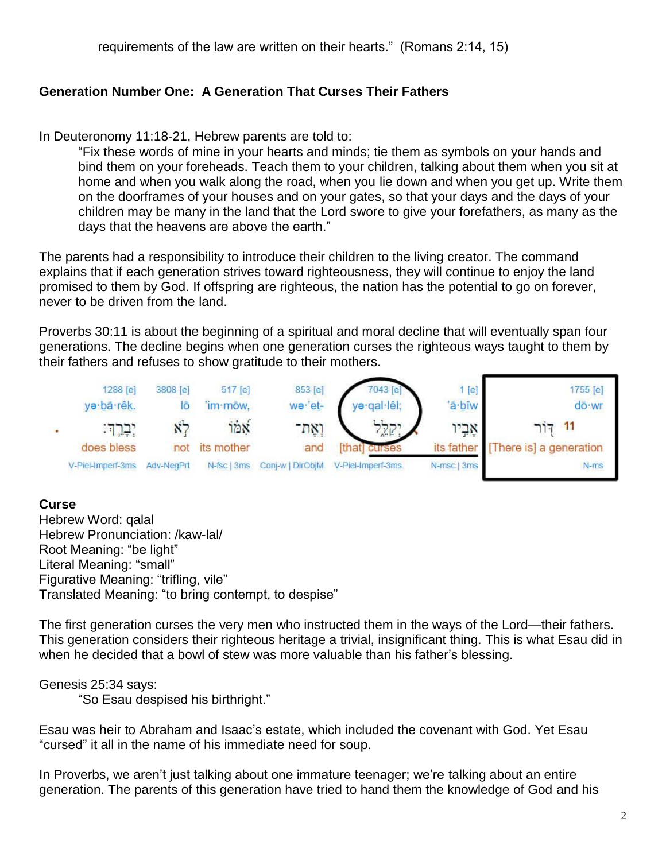#### **Generation Number One: A Generation That Curses Their Fathers**

In Deuteronomy 11:18-21, Hebrew parents are told to:

"Fix these words of mine in your hearts and minds; tie them as symbols on your hands and bind them on your foreheads. Teach them to your children, talking about them when you sit at home and when you walk along the road, when you lie down and when you get up. Write them on the doorframes of your houses and on your gates, so that your days and the days of your children may be many in the land that the Lord swore to give your forefathers, as many as the days that the heavens are above the earth."

The parents had a responsibility to introduce their children to the living creator. The command explains that if each generation strives toward righteousness, they will continue to enjoy the land promised to them by God. If offspring are righteous, the nation has the potential to go on forever, never to be driven from the land.

Proverbs 30:11 is about the beginning of a spiritual and moral decline that will eventually span four generations. The decline begins when one generation curses the righteous ways taught to them by their fathers and refuses to show gratitude to their mothers.



#### **Curse**

Hebrew Word: qalal Hebrew Pronunciation: /kaw-lal/ Root Meaning: "be light" Literal Meaning: "small" Figurative Meaning: "trifling, vile" Translated Meaning: "to bring contempt, to despise"

The first generation curses the very men who instructed them in the ways of the Lord—their fathers. This generation considers their righteous heritage a trivial, insignificant thing. This is what Esau did in when he decided that a bowl of stew was more valuable than his father's blessing.

### Genesis 25:34 says:

"So Esau despised his birthright."

Esau was heir to Abraham and Isaac's estate, which included the covenant with God. Yet Esau "cursed" it all in the name of his immediate need for soup.

In Proverbs, we aren't just talking about one immature teenager; we're talking about an entire generation. The parents of this generation have tried to hand them the knowledge of God and his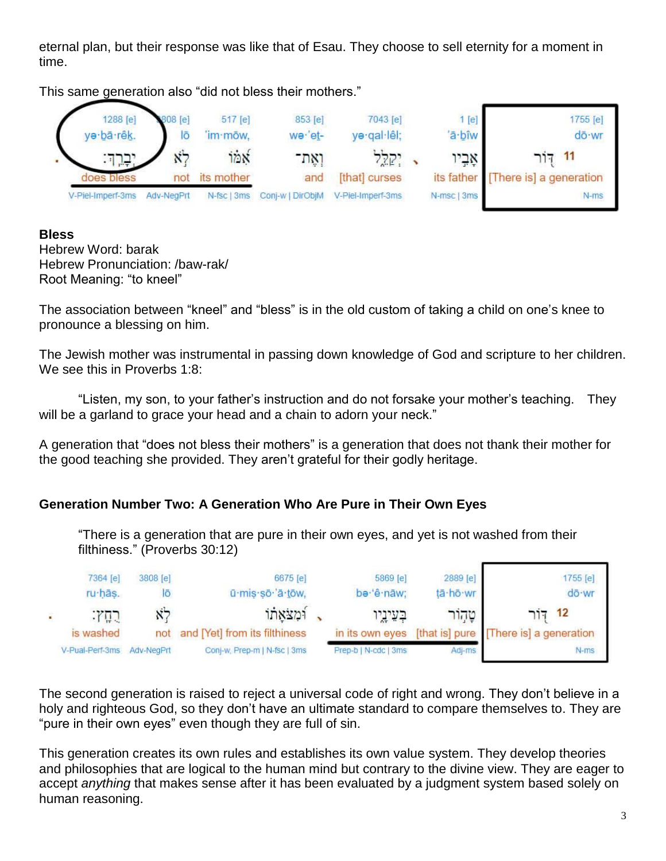eternal plan, but their response was like that of Esau. They choose to sell eternity for a moment in time.

This same generation also "did not bless their mothers."



## **Bless**

Hebrew Word: barak Hebrew Pronunciation: /baw-rak/ Root Meaning: "to kneel"

The association between "kneel" and "bless" is in the old custom of taking a child on one's knee to pronounce a blessing on him.

The Jewish mother was instrumental in passing down knowledge of God and scripture to her children. We see this in Proverbs 1:8:

"Listen, my son, to your father's instruction and do not forsake your mother's teaching. They will be a garland to grace your head and a chain to adorn your neck."

A generation that "does not bless their mothers" is a generation that does not thank their mother for the good teaching she provided. They aren't grateful for their godly heritage.

## **Generation Number Two: A Generation Who Are Pure in Their Own Eyes**

"There is a generation that are pure in their own eyes, and yet is not washed from their filthiness." (Proverbs 30:12)

| 7364 [e]<br>ru hās.                                          | 3808 [e]   | 6675 [e]<br>ū·mis·sō· ā·tōw,  | 5869 [e]<br>be 'ê nāw; | 2889 [e]<br>tā·hō·wr | 1755 [e]<br>dō · wr                    |
|--------------------------------------------------------------|------------|-------------------------------|------------------------|----------------------|----------------------------------------|
| $\cdot$ $\left( \begin{array}{c} 1 \\ 1 \end{array} \right)$ |            | ומצאתו                        | בעיניי                 | טהור                 | 12                                     |
| is washed                                                    | not        | and [Yet] from its filthiness | in its own eyes        |                      | [that is] pure [There is] a generation |
| V-Pual-Perf-3ms                                              | Adv-NeaPrt | Conj-w, Prep-m   N-fsc   3ms  | Prep-b   N-cdc   3ms   | Adj-ms               | $N-ms$                                 |

The second generation is raised to reject a universal code of right and wrong. They don't believe in a holy and righteous God, so they don't have an ultimate standard to compare themselves to. They are "pure in their own eyes" even though they are full of sin.

This generation creates its own rules and establishes its own value system. They develop theories and philosophies that are logical to the human mind but contrary to the divine view. They are eager to accept *anything* that makes sense after it has been evaluated by a judgment system based solely on human reasoning.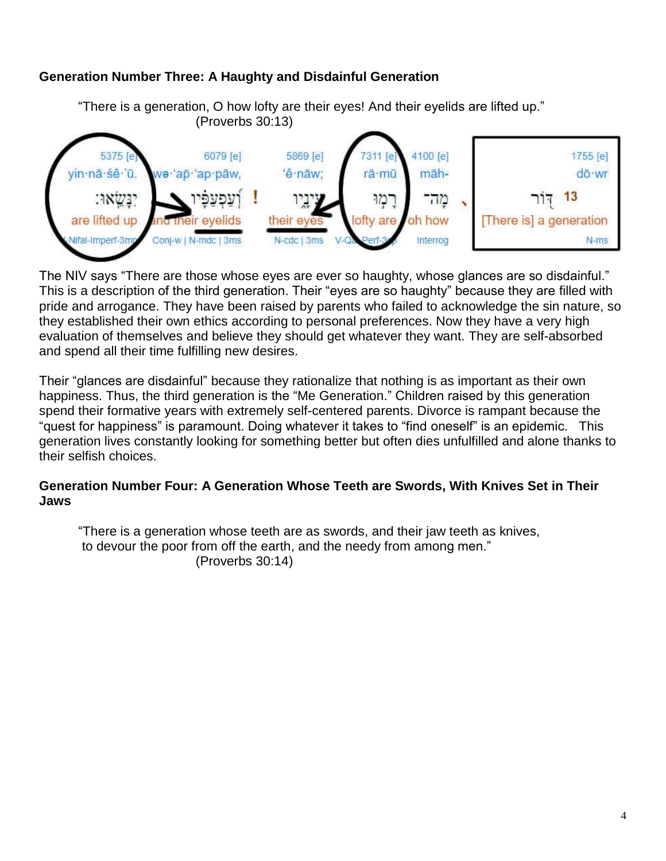### **Generation Number Three: A Haughty and Disdainful Generation**



The NIV says "There are those whose eyes are ever so haughty, whose glances are so disdainful." This is a description of the third generation. Their "eyes are so haughty" because they are filled with pride and arrogance. They have been raised by parents who failed to acknowledge the sin nature, so they established their own ethics according to personal preferences. Now they have a very high evaluation of themselves and believe they should get whatever they want. They are self-absorbed and spend all their time fulfilling new desires.

Their "glances are disdainful" because they rationalize that nothing is as important as their own happiness. Thus, the third generation is the "Me Generation." Children raised by this generation spend their formative years with extremely self-centered parents. Divorce is rampant because the "quest for happiness" is paramount. Doing whatever it takes to "find oneself" is an epidemic. This generation lives constantly looking for something better but often dies unfulfilled and alone thanks to their selfish choices.

### **Generation Number Four: A Generation Whose Teeth are Swords, With Knives Set in Their Jaws**

"There is a generation whose teeth are as swords, and their jaw teeth as knives, to devour the poor from off the earth, and the needy from among men." (Proverbs 30:14)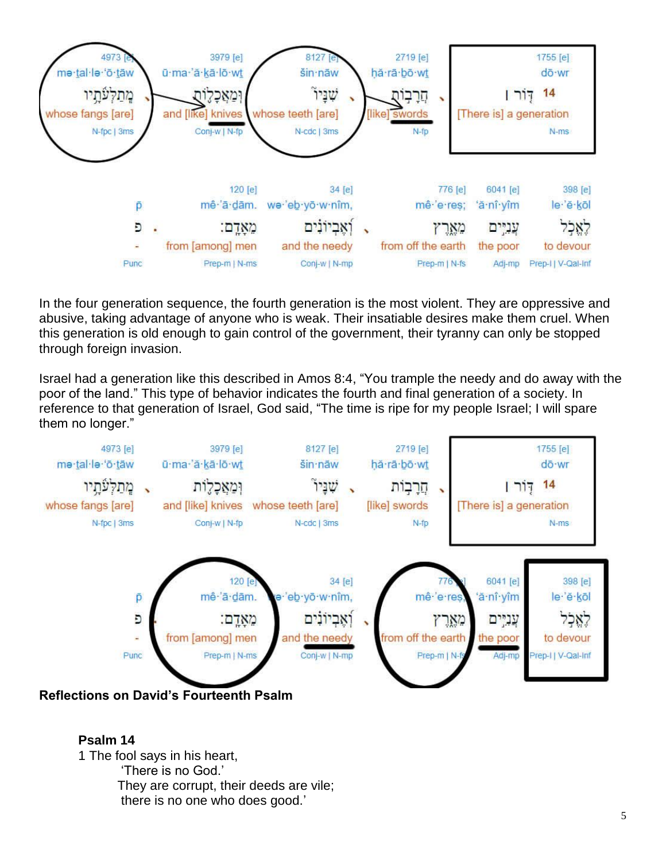

In the four generation sequence, the fourth generation is the most violent. They are oppressive and abusive, taking advantage of anyone who is weak. Their insatiable desires make them cruel. When this generation is old enough to gain control of the government, their tyranny can only be stopped through foreign invasion.

Israel had a generation like this described in Amos 8:4, "You trample the needy and do away with the poor of the land." This type of behavior indicates the fourth and final generation of a society. In reference to that generation of Israel, God said, "The time is ripe for my people Israel; I will spare them no longer."



### **Psalm 14** 1 The fool says in his heart, 'There is no God.' They are corrupt, their deeds are vile; there is no one who does good.'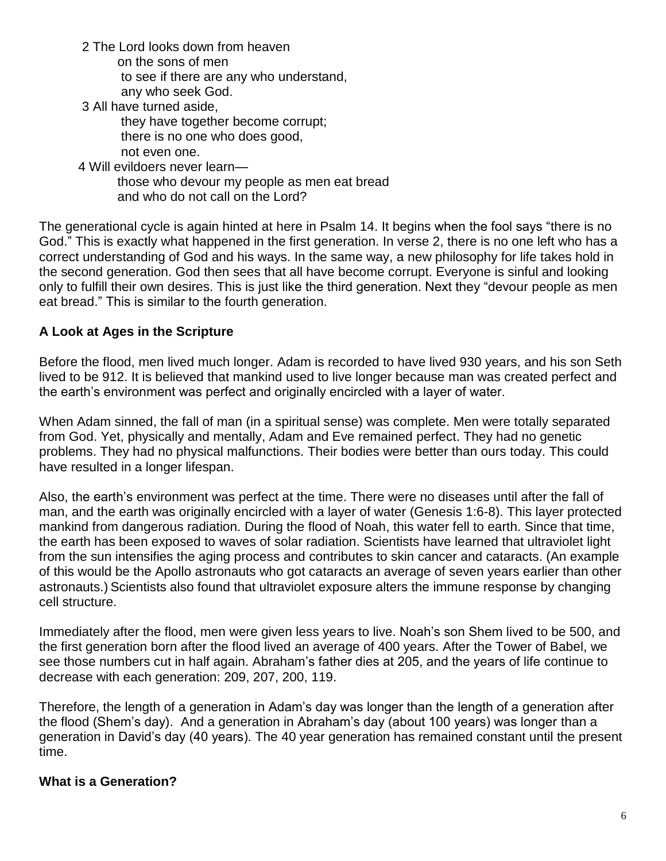2 The Lord looks down from heaven

on the sons of men

to see if there are any who understand,

any who seek God.

3 All have turned aside,

 they have together become corrupt; there is no one who does good, not even one.

4 Will evildoers never learn—

 those who devour my people as men eat bread and who do not call on the Lord?

The generational cycle is again hinted at here in Psalm 14. It begins when the fool says "there is no God." This is exactly what happened in the first generation. In verse 2, there is no one left who has a correct understanding of God and his ways. In the same way, a new philosophy for life takes hold in the second generation. God then sees that all have become corrupt. Everyone is sinful and looking only to fulfill their own desires. This is just like the third generation. Next they "devour people as men eat bread." This is similar to the fourth generation.

### **A Look at Ages in the Scripture**

Before the flood, men lived much longer. Adam is recorded to have lived 930 years, and his son Seth lived to be 912. It is believed that mankind used to live longer because man was created perfect and the earth's environment was perfect and originally encircled with a layer of water.

When Adam sinned, the fall of man (in a spiritual sense) was complete. Men were totally separated from God. Yet, physically and mentally, Adam and Eve remained perfect. They had no genetic problems. They had no physical malfunctions. Their bodies were better than ours today. This could have resulted in a longer lifespan.

Also, the earth's environment was perfect at the time. There were no diseases until after the fall of man, and the earth was originally encircled with a layer of water (Genesis 1:6-8). This layer protected mankind from dangerous radiation. During the flood of Noah, this water fell to earth. Since that time, the earth has been exposed to waves of solar radiation. Scientists have learned that ultraviolet light from the sun intensifies the aging process and contributes to skin cancer and cataracts. (An example of this would be the Apollo astronauts who got cataracts an average of seven years earlier than other astronauts.) Scientists also found that ultraviolet exposure alters the immune response by changing cell structure.

Immediately after the flood, men were given less years to live. Noah's son Shem lived to be 500, and the first generation born after the flood lived an average of 400 years. After the Tower of Babel, we see those numbers cut in half again. Abraham's father dies at 205, and the years of life continue to decrease with each generation: 209, 207, 200, 119.

Therefore, the length of a generation in Adam's day was longer than the length of a generation after the flood (Shem's day). And a generation in Abraham's day (about 100 years) was longer than a generation in David's day (40 years). The 40 year generation has remained constant until the present time.

### **What is a Generation?**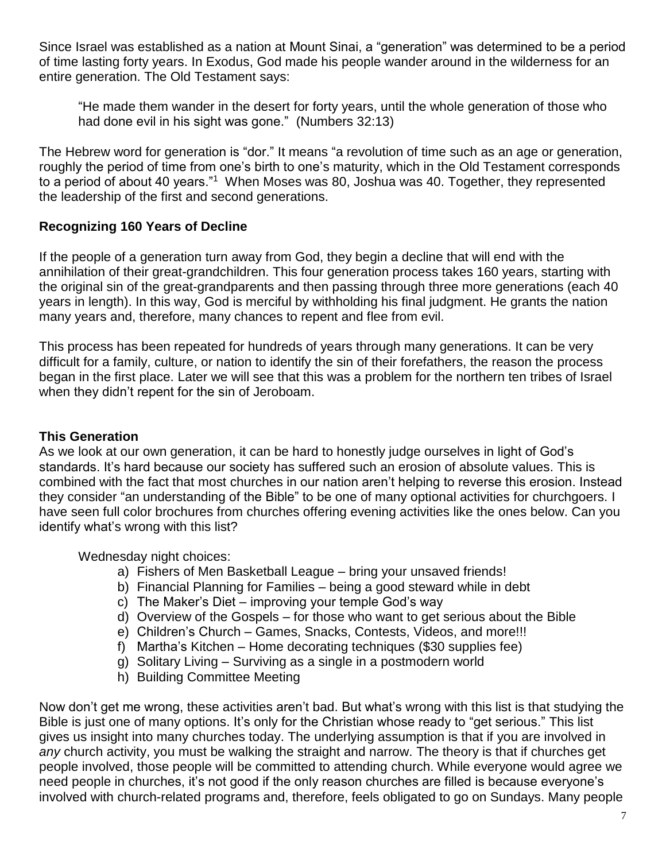Since Israel was established as a nation at Mount Sinai, a "generation" was determined to be a period of time lasting forty years. In Exodus, God made his people wander around in the wilderness for an entire generation. The Old Testament says:

"He made them wander in the desert for forty years, until the whole generation of those who had done evil in his sight was gone." (Numbers 32:13)

The Hebrew word for generation is "dor." It means "a revolution of time such as an age or generation, roughly the period of time from one's birth to one's maturity, which in the Old Testament corresponds to a period of about 40 years."<sup>1</sup> When Moses was 80, Joshua was 40. Together, they represented the leadership of the first and second generations.

## **Recognizing 160 Years of Decline**

If the people of a generation turn away from God, they begin a decline that will end with the annihilation of their great-grandchildren. This four generation process takes 160 years, starting with the original sin of the great-grandparents and then passing through three more generations (each 40 years in length). In this way, God is merciful by withholding his final judgment. He grants the nation many years and, therefore, many chances to repent and flee from evil.

This process has been repeated for hundreds of years through many generations. It can be very difficult for a family, culture, or nation to identify the sin of their forefathers, the reason the process began in the first place. Later we will see that this was a problem for the northern ten tribes of Israel when they didn't repent for the sin of Jeroboam.

### **This Generation**

As we look at our own generation, it can be hard to honestly judge ourselves in light of God's standards. It's hard because our society has suffered such an erosion of absolute values. This is combined with the fact that most churches in our nation aren't helping to reverse this erosion. Instead they consider "an understanding of the Bible" to be one of many optional activities for churchgoers. I have seen full color brochures from churches offering evening activities like the ones below. Can you identify what's wrong with this list?

Wednesday night choices:

- a) Fishers of Men Basketball League bring your unsaved friends!
- b) Financial Planning for Families being a good steward while in debt
- c) The Maker's Diet improving your temple God's way
- d) Overview of the Gospels for those who want to get serious about the Bible
- e) Children's Church Games, Snacks, Contests, Videos, and more!!!
- f) Martha's Kitchen Home decorating techniques (\$30 supplies fee)
- g) Solitary Living Surviving as a single in a postmodern world
- h) Building Committee Meeting

Now don't get me wrong, these activities aren't bad. But what's wrong with this list is that studying the Bible is just one of many options. It's only for the Christian whose ready to "get serious." This list gives us insight into many churches today. The underlying assumption is that if you are involved in *any* church activity, you must be walking the straight and narrow. The theory is that if churches get people involved, those people will be committed to attending church. While everyone would agree we need people in churches, it's not good if the only reason churches are filled is because everyone's involved with church-related programs and, therefore, feels obligated to go on Sundays. Many people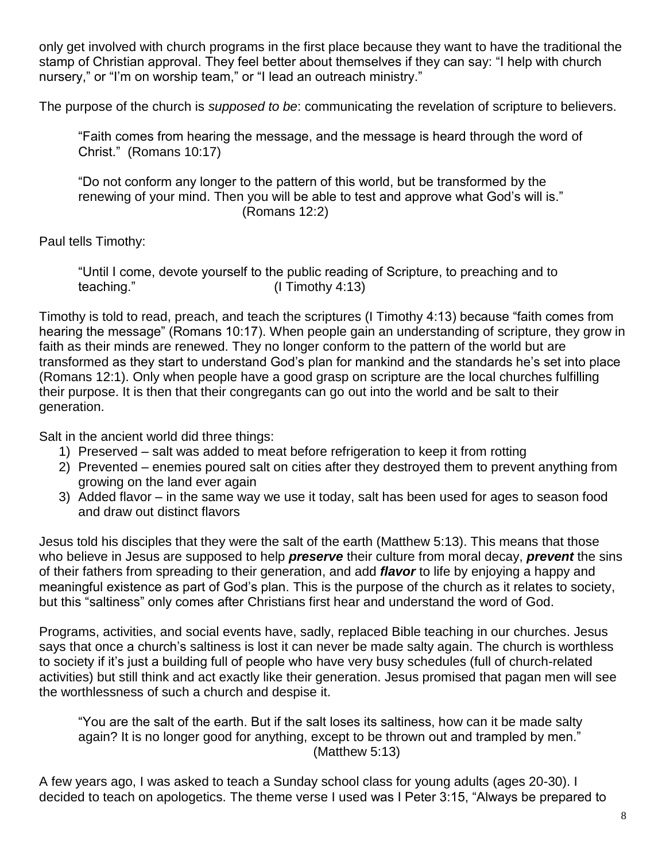only get involved with church programs in the first place because they want to have the traditional the stamp of Christian approval. They feel better about themselves if they can say: "I help with church nursery," or "I'm on worship team," or "I lead an outreach ministry."

The purpose of the church is *supposed to be*: communicating the revelation of scripture to believers.

"Faith comes from hearing the message, and the message is heard through the word of Christ." (Romans 10:17)

"Do not conform any longer to the pattern of this world, but be transformed by the renewing of your mind. Then you will be able to test and approve what God's will is." (Romans 12:2)

Paul tells Timothy:

"Until I come, devote yourself to the public reading of Scripture, to preaching and to teaching." (I Timothy 4:13)

Timothy is told to read, preach, and teach the scriptures (I Timothy 4:13) because "faith comes from hearing the message" (Romans 10:17). When people gain an understanding of scripture, they grow in faith as their minds are renewed. They no longer conform to the pattern of the world but are transformed as they start to understand God's plan for mankind and the standards he's set into place (Romans 12:1). Only when people have a good grasp on scripture are the local churches fulfilling their purpose. It is then that their congregants can go out into the world and be salt to their generation.

Salt in the ancient world did three things:

- 1) Preserved salt was added to meat before refrigeration to keep it from rotting
- 2) Prevented enemies poured salt on cities after they destroyed them to prevent anything from growing on the land ever again
- 3) Added flavor in the same way we use it today, salt has been used for ages to season food and draw out distinct flavors

Jesus told his disciples that they were the salt of the earth (Matthew 5:13). This means that those who believe in Jesus are supposed to help *preserve* their culture from moral decay, *prevent* the sins of their fathers from spreading to their generation, and add *flavor* to life by enjoying a happy and meaningful existence as part of God's plan. This is the purpose of the church as it relates to society, but this "saltiness" only comes after Christians first hear and understand the word of God.

Programs, activities, and social events have, sadly, replaced Bible teaching in our churches. Jesus says that once a church's saltiness is lost it can never be made salty again. The church is worthless to society if it's just a building full of people who have very busy schedules (full of church-related activities) but still think and act exactly like their generation. Jesus promised that pagan men will see the worthlessness of such a church and despise it.

"You are the salt of the earth. But if the salt loses its saltiness, how can it be made salty again? It is no longer good for anything, except to be thrown out and trampled by men." (Matthew 5:13)

A few years ago, I was asked to teach a Sunday school class for young adults (ages 20-30). I decided to teach on apologetics. The theme verse I used was I Peter 3:15, "Always be prepared to